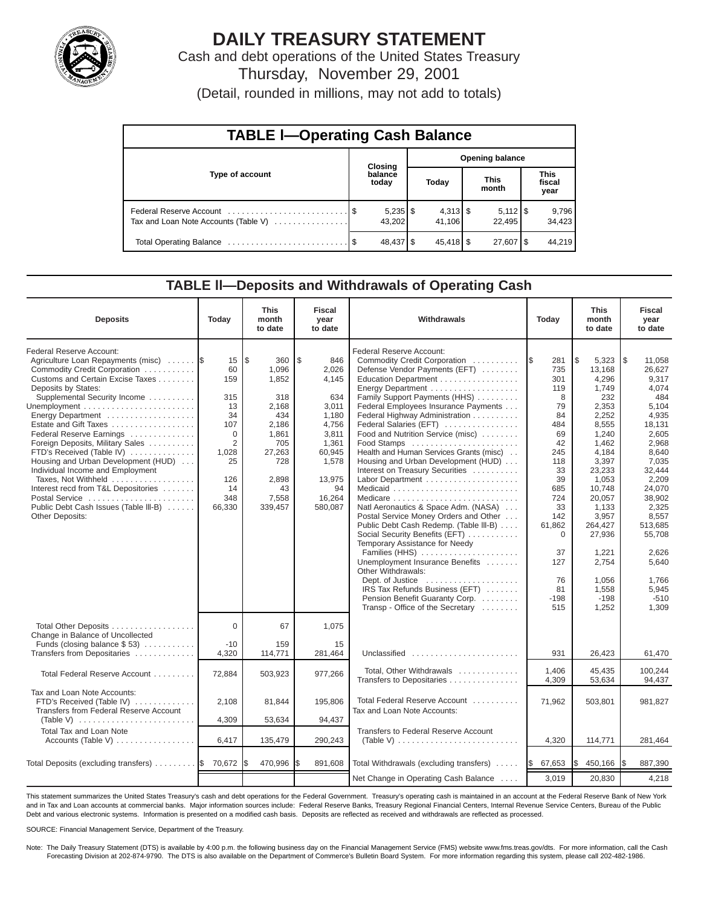

# **DAILY TREASURY STATEMENT**

Cash and debt operations of the United States Treasury Thursday, November 29, 2001

(Detail, rounded in millions, may not add to totals)

| <b>TABLE I-Operating Cash Balance</b> |  |                      |  |                        |  |                      |  |                               |  |  |
|---------------------------------------|--|----------------------|--|------------------------|--|----------------------|--|-------------------------------|--|--|
|                                       |  | <b>Closing</b>       |  | <b>Opening balance</b> |  |                      |  |                               |  |  |
| Type of account                       |  | balance<br>today     |  | Today                  |  | <b>This</b><br>month |  | <b>This</b><br>fiscal<br>year |  |  |
| Tax and Loan Note Accounts (Table V)  |  | $5,235$ \$<br>43.202 |  | 41.106                 |  | 22.495               |  | 9,796<br>34,423               |  |  |
|                                       |  | 48,437 \$            |  | $45,418$ \$            |  | $27,607$ \ \$        |  | 44.219                        |  |  |

#### **TABLE ll—Deposits and Withdrawals of Operating Cash**

| <b>Deposits</b>                                                                                                                                                                                                                                                                                                                                                                                                                                                                                                                                             | Today                                                                                                                | <b>This</b><br>month<br>to date                                                                                                                       | <b>Fiscal</b><br>year<br>to date                                                                                                        | Withdrawals<br>Today                                                                                                                                                                                                                                                                                                                                                                                                                                                                                                                                                                                                                                                                                                                                                                                                                                                           |                                                                                                                                                                                             | <b>This</b><br>month<br>to date                                                                                                                                                                                                                     | <b>Fiscal</b><br>year<br>to date                                                                                                                                                                                                                      |
|-------------------------------------------------------------------------------------------------------------------------------------------------------------------------------------------------------------------------------------------------------------------------------------------------------------------------------------------------------------------------------------------------------------------------------------------------------------------------------------------------------------------------------------------------------------|----------------------------------------------------------------------------------------------------------------------|-------------------------------------------------------------------------------------------------------------------------------------------------------|-----------------------------------------------------------------------------------------------------------------------------------------|--------------------------------------------------------------------------------------------------------------------------------------------------------------------------------------------------------------------------------------------------------------------------------------------------------------------------------------------------------------------------------------------------------------------------------------------------------------------------------------------------------------------------------------------------------------------------------------------------------------------------------------------------------------------------------------------------------------------------------------------------------------------------------------------------------------------------------------------------------------------------------|---------------------------------------------------------------------------------------------------------------------------------------------------------------------------------------------|-----------------------------------------------------------------------------------------------------------------------------------------------------------------------------------------------------------------------------------------------------|-------------------------------------------------------------------------------------------------------------------------------------------------------------------------------------------------------------------------------------------------------|
| Federal Reserve Account:<br>Agriculture Loan Repayments (misc)<br>Commodity Credit Corporation<br>Customs and Certain Excise Taxes<br>Deposits by States:<br>Supplemental Security Income<br>Energy Department<br>Estate and Gift Taxes<br>Federal Reserve Earnings<br>Foreign Deposits, Military Sales<br>FTD's Received (Table IV)<br>Housing and Urban Development (HUD)<br>Individual Income and Employment<br>Taxes, Not Withheld<br>Interest recd from T&L Depositories<br>Postal Service<br>Public Debt Cash Issues (Table III-B)<br>Other Deposits: | 15<br>60<br>159<br>315<br>13<br>34<br>107<br>$\Omega$<br>$\overline{2}$<br>1,028<br>25<br>126<br>14<br>348<br>66,330 | $\overline{\mathcal{S}}$<br>360<br>1,096<br>1,852<br>318<br>2,168<br>434<br>2,186<br>1,861<br>705<br>27,263<br>728<br>2,898<br>43<br>7,558<br>339,457 | \$<br>846<br>2,026<br>4,145<br>634<br>3,011<br>1,180<br>4,756<br>3,811<br>1,361<br>60,945<br>1,578<br>13,975<br>94<br>16,264<br>580,087 | Federal Reserve Account:<br>Commodity Credit Corporation<br>Defense Vendor Payments (EFT)<br>Education Department<br>Energy Department<br>Family Support Payments (HHS)<br>Federal Employees Insurance Payments<br>Federal Highway Administration<br>Federal Salaries (EFT)<br>Food and Nutrition Service (misc)<br>Food Stamps<br>Health and Human Services Grants (misc)<br>Housing and Urban Development (HUD)<br>Interest on Treasury Securities<br>Labor Department<br>Natl Aeronautics & Space Adm. (NASA)<br>Postal Service Money Orders and Other<br>Public Debt Cash Redemp. (Table III-B)<br>Social Security Benefits (EFT)<br>Temporary Assistance for Needy<br>Families (HHS)<br>Unemployment Insurance Benefits<br>Other Withdrawals:<br>Dept. of Justice<br>IRS Tax Refunds Business (EFT)<br>Pension Benefit Guaranty Corp.<br>Transp - Office of the Secretary | 1\$<br>281<br>735<br>301<br>119<br>8<br>79<br>84<br>484<br>69<br>42<br>245<br>118<br>33<br>39<br>685<br>724<br>33<br>142<br>61,862<br>$\mathbf 0$<br>37<br>127<br>76<br>81<br>$-198$<br>515 | 1\$<br>5,323<br>13,168<br>4,296<br>1,749<br>232<br>2,353<br>2,252<br>8,555<br>1,240<br>1,462<br>4,184<br>3,397<br>23,233<br>1,053<br>10,748<br>20,057<br>1,133<br>3,957<br>264,427<br>27,936<br>1.221<br>2,754<br>1,056<br>1.558<br>$-198$<br>1,252 | l\$<br>11,058<br>26,627<br>9,317<br>4,074<br>484<br>5,104<br>4,935<br>18,131<br>2,605<br>2,968<br>8,640<br>7,035<br>32,444<br>2,209<br>24,070<br>38,902<br>2.325<br>8,557<br>513,685<br>55.708<br>2.626<br>5,640<br>1,766<br>5,945<br>$-510$<br>1,309 |
| Total Other Deposits<br>Change in Balance of Uncollected<br>Funds (closing balance $$53$ )<br>Transfers from Depositaries                                                                                                                                                                                                                                                                                                                                                                                                                                   | $\Omega$<br>$-10$<br>4,320                                                                                           | 67<br>159                                                                                                                                             | 1,075<br>15                                                                                                                             | Unclassified                                                                                                                                                                                                                                                                                                                                                                                                                                                                                                                                                                                                                                                                                                                                                                                                                                                                   | 931                                                                                                                                                                                         |                                                                                                                                                                                                                                                     |                                                                                                                                                                                                                                                       |
| Total Federal Reserve Account                                                                                                                                                                                                                                                                                                                                                                                                                                                                                                                               | 72,884                                                                                                               | 114,771<br>503,923                                                                                                                                    | 281,464<br>977,266                                                                                                                      | Total, Other Withdrawals<br>Transfers to Depositaries                                                                                                                                                                                                                                                                                                                                                                                                                                                                                                                                                                                                                                                                                                                                                                                                                          | 1.406<br>4,309                                                                                                                                                                              | 26,423<br>45.435<br>53,634                                                                                                                                                                                                                          | 61,470<br>100.244<br>94,437                                                                                                                                                                                                                           |
| Tax and Loan Note Accounts:<br>FTD's Received (Table IV)<br>Transfers from Federal Reserve Account<br>(Table V) $\ldots \ldots \ldots \ldots \ldots \ldots \ldots \ldots$                                                                                                                                                                                                                                                                                                                                                                                   | 2,108<br>4,309                                                                                                       | 81,844<br>53,634                                                                                                                                      | 195,806<br>94,437                                                                                                                       | Total Federal Reserve Account<br>Tax and Loan Note Accounts:                                                                                                                                                                                                                                                                                                                                                                                                                                                                                                                                                                                                                                                                                                                                                                                                                   | 71,962                                                                                                                                                                                      | 503,801                                                                                                                                                                                                                                             | 981,827                                                                                                                                                                                                                                               |
| <b>Total Tax and Loan Note</b><br>Accounts (Table V)                                                                                                                                                                                                                                                                                                                                                                                                                                                                                                        | 6,417                                                                                                                | 135,479                                                                                                                                               | 290,243                                                                                                                                 | Transfers to Federal Reserve Account<br>(Table V)                                                                                                                                                                                                                                                                                                                                                                                                                                                                                                                                                                                                                                                                                                                                                                                                                              | 4,320                                                                                                                                                                                       | 114,771                                                                                                                                                                                                                                             | 281,464                                                                                                                                                                                                                                               |
| Total Deposits (excluding transfers)  \$                                                                                                                                                                                                                                                                                                                                                                                                                                                                                                                    | 70,672                                                                                                               | 470,996                                                                                                                                               | 891,608                                                                                                                                 | Total Withdrawals (excluding transfers)                                                                                                                                                                                                                                                                                                                                                                                                                                                                                                                                                                                                                                                                                                                                                                                                                                        | 67,653<br><b>S</b>                                                                                                                                                                          | 450,166<br>l\$                                                                                                                                                                                                                                      | 887,390<br>I\$                                                                                                                                                                                                                                        |
|                                                                                                                                                                                                                                                                                                                                                                                                                                                                                                                                                             |                                                                                                                      |                                                                                                                                                       |                                                                                                                                         | Net Change in Operating Cash Balance                                                                                                                                                                                                                                                                                                                                                                                                                                                                                                                                                                                                                                                                                                                                                                                                                                           | 3,019                                                                                                                                                                                       | 20,830                                                                                                                                                                                                                                              | 4,218                                                                                                                                                                                                                                                 |

This statement summarizes the United States Treasury's cash and debt operations for the Federal Government. Treasury's operating cash is maintained in an account at the Federal Reserve Bank of New York and in Tax and Loan accounts at commercial banks. Major information sources include: Federal Reserve Banks, Treasury Regional Financial Centers, Internal Revenue Service Centers, Bureau of the Public Debt and various electronic systems. Information is presented on a modified cash basis. Deposits are reflected as received and withdrawals are reflected as processed.

SOURCE: Financial Management Service, Department of the Treasury.

Note: The Daily Treasury Statement (DTS) is available by 4:00 p.m. the following business day on the Financial Management Service (FMS) website www.fms.treas.gov/dts. For more information, call the Cash Forecasting Division at 202-874-9790. The DTS is also available on the Department of Commerce's Bulletin Board System. For more information regarding this system, please call 202-482-1986.